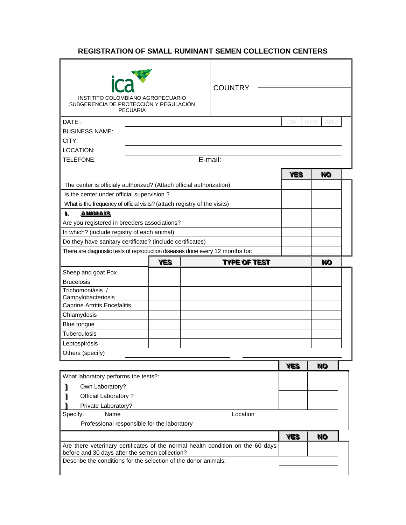## **REGISTRATION OF SMALL RUMINANT SEMEN COLLECTION CENTERS**

| ica                                            | INSTITITO COLOMBIANO AGROPECUARIO<br>SUBGERENCIA DE PROTECCIÓN Y REGULACIÓN<br><b>PECUARIA</b> |         | <b>COUNTRY</b>                                                                  |            |                   |  |
|------------------------------------------------|------------------------------------------------------------------------------------------------|---------|---------------------------------------------------------------------------------|------------|-------------------|--|
| DATE:                                          |                                                                                                |         |                                                                                 | DIA        | <b>MES</b><br>ańc |  |
| <b>BUSINESS NAME:</b>                          |                                                                                                |         |                                                                                 |            |                   |  |
| CITY:                                          |                                                                                                |         |                                                                                 |            |                   |  |
| LOCATION:                                      |                                                                                                |         |                                                                                 |            |                   |  |
| TELÉFONE:                                      |                                                                                                | E-mail: |                                                                                 |            |                   |  |
|                                                |                                                                                                |         |                                                                                 | <b>YES</b> | <b>NO</b>         |  |
|                                                | The center is officialy authorized? (Attach official authorization)                            |         |                                                                                 |            |                   |  |
| Is the center under official supervision?      |                                                                                                |         |                                                                                 |            |                   |  |
|                                                | What is the frequency of official visits? (attach registry of the visits)                      |         |                                                                                 |            |                   |  |
| <b>ANIMAIS</b><br>١.                           |                                                                                                |         |                                                                                 |            |                   |  |
| Are you registered in breeders associations?   |                                                                                                |         |                                                                                 |            |                   |  |
| In which? (include registry of each animal)    |                                                                                                |         |                                                                                 |            |                   |  |
|                                                | Do they have sanitary certificate? (include certificates)                                      |         |                                                                                 |            |                   |  |
|                                                | There are diagnostic tests of reproduction diseases done every 12 months for:                  |         |                                                                                 |            |                   |  |
|                                                | YES                                                                                            |         | TYPE OF TEST                                                                    |            | <b>NO</b>         |  |
| Sheep and goat Pox                             |                                                                                                |         |                                                                                 |            |                   |  |
| <b>Brucelosis</b>                              |                                                                                                |         |                                                                                 |            |                   |  |
| Trichomoniásis /                               |                                                                                                |         |                                                                                 |            |                   |  |
| Campylobacteriosis                             |                                                                                                |         |                                                                                 |            |                   |  |
| <b>Caprine Artritis Encefalitis</b>            |                                                                                                |         |                                                                                 |            |                   |  |
| Chlamydosis                                    |                                                                                                |         |                                                                                 |            |                   |  |
| Blue tongue                                    |                                                                                                |         |                                                                                 |            |                   |  |
| Tuberculosis                                   |                                                                                                |         |                                                                                 |            |                   |  |
| Leptospirósis                                  |                                                                                                |         |                                                                                 |            |                   |  |
| Others (specify)                               |                                                                                                |         |                                                                                 |            |                   |  |
|                                                |                                                                                                |         |                                                                                 | <b>YES</b> | <b>NO</b>         |  |
| What laboratory performs the tests?:           |                                                                                                |         |                                                                                 |            |                   |  |
| Own Laboratory?<br>ı                           |                                                                                                |         |                                                                                 |            |                   |  |
| Official Laboratory?<br>ı                      |                                                                                                |         |                                                                                 |            |                   |  |
| Private Laboratory?                            |                                                                                                |         |                                                                                 |            |                   |  |
| Name<br>Specify:                               |                                                                                                |         | Location                                                                        |            |                   |  |
|                                                | Professional responsible for the laboratory                                                    |         |                                                                                 |            |                   |  |
|                                                |                                                                                                |         |                                                                                 | <b>YES</b> | <b>NO</b>         |  |
|                                                |                                                                                                |         | Are there veterinary certificates of the normal health condition on the 60 days |            |                   |  |
| before and 30 days after the semen collection? |                                                                                                |         |                                                                                 |            |                   |  |
|                                                | Describe the conditions for the selection of the donor animals:                                |         |                                                                                 |            |                   |  |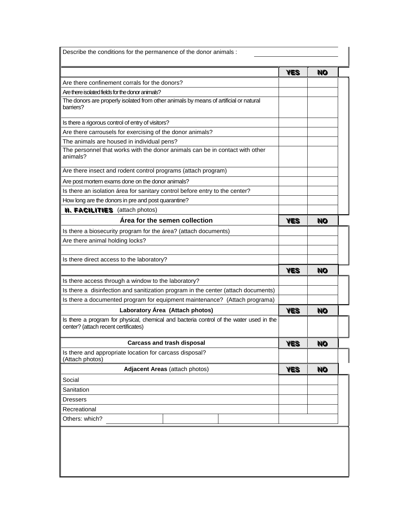| Describe the conditions for the permanence of the donor animals :                                                               |            |           |
|---------------------------------------------------------------------------------------------------------------------------------|------------|-----------|
|                                                                                                                                 | <b>YES</b> | <b>NO</b> |
| Are there confinement corrals for the donors?                                                                                   |            |           |
| Are there isolated fields for the donor animals?                                                                                |            |           |
| The donors are properly isolated from other animals by means of artificial or natural<br>barriers?                              |            |           |
| Is there a rigorous control of entry of visitors?                                                                               |            |           |
| Are there carrousels for exercising of the donor animals?                                                                       |            |           |
| The animals are housed in individual pens?                                                                                      |            |           |
| The personnel that works with the donor animals can be in contact with other<br>animals?                                        |            |           |
| Are there insect and rodent control programs (attach program)                                                                   |            |           |
| Are post mortem exams done on the donor animals?                                                                                |            |           |
| Is there an isolation área for sanitary control before entry to the center?                                                     |            |           |
| How long are the donors in pre and post quarantine?                                                                             |            |           |
| <b>II. FACILITIES</b> (attach photos)                                                                                           |            |           |
| Área for the semen collection                                                                                                   | <b>YES</b> | <b>NO</b> |
| Is there a biosecurity program for the área? (attach documents)                                                                 |            |           |
| Are there animal holding locks?                                                                                                 |            |           |
|                                                                                                                                 |            |           |
| Is there direct access to the laboratory?                                                                                       |            |           |
|                                                                                                                                 | <b>YES</b> | <b>NO</b> |
| Is there access through a window to the laboratory?                                                                             |            |           |
| Is there a disinfection and sanitization program in the center (attach documents)                                               |            |           |
| Is there a documented program for equipment maintenance? (Attach programa)                                                      |            |           |
| Laboratory Área (Attach photos)                                                                                                 |            | <b>NO</b> |
| Is there a program for physical, chemical and bacteria control of the water used in the<br>center? (attach recent certificates) |            |           |
| <b>Carcass and trash disposal</b>                                                                                               |            | <b>NO</b> |
| Is there and appropriate location for carcass disposal?<br>(Attach photos)                                                      |            |           |
| <b>Adjacent Areas (attach photos)</b>                                                                                           |            | <b>NO</b> |
| Social                                                                                                                          |            |           |
| Sanitation                                                                                                                      |            |           |
| <b>Dressers</b>                                                                                                                 |            |           |
| Recreational                                                                                                                    |            |           |
|                                                                                                                                 |            |           |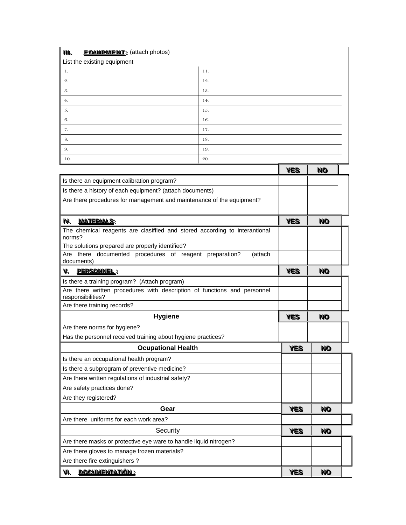| <b>FOUIDMENT:</b> (attach photos)<br>M, |     |
|-----------------------------------------|-----|
| List the existing equipment             |     |
| -1.                                     | 11. |
| 2.                                      | 12. |
| 3.                                      | 13. |
| 4.                                      | 14. |
| $\vert 5.$                              | 15. |
| $\vert 6.$                              | 16. |
| 7.                                      | 17. |
| $\vert 8.$                              | 18. |
| 9.                                      | 19. |
| 10.                                     | 20. |

|                                                                                               | <b>YES</b> | <b>NO</b> |  |
|-----------------------------------------------------------------------------------------------|------------|-----------|--|
| Is there an equipment calibration program?                                                    |            |           |  |
| Is there a history of each equipment? (attach documents)                                      |            |           |  |
| Are there procedures for management and maintenance of the equipment?                         |            |           |  |
|                                                                                               |            |           |  |
| <u>MATERIALS:</u><br>IV.                                                                      | <b>YES</b> | <b>NO</b> |  |
| The chemical reagents are clasiffied and stored according to interantional<br>norms?          |            |           |  |
| The solutions prepared are properly identified?                                               |            |           |  |
| Are there documented procedures of reagent preparation?<br>(attach<br>documents)              |            |           |  |
| V. <u>Personnel</u> :                                                                         | <b>YES</b> | <b>NO</b> |  |
| Is there a training program? (Attach program)                                                 |            |           |  |
| Are there written procedures with description of functions and personnel<br>responsibilities? |            |           |  |
| Are there training records?                                                                   |            |           |  |
| <b>Hygiene</b>                                                                                |            | <b>NO</b> |  |
| Are there norms for hygiene?                                                                  |            |           |  |
| Has the personnel received training about hygiene practices?                                  |            |           |  |
| <b>Ocupational Health</b>                                                                     |            | <b>NO</b> |  |
| Is there an occupational health program?                                                      |            |           |  |
| Is there a subprogram of preventive medicine?                                                 |            |           |  |
| Are there written regulations of industrial safety?                                           |            |           |  |
| Are safety practices done?                                                                    |            |           |  |
| Are they registered?                                                                          |            |           |  |
| Gear                                                                                          | <b>YES</b> | <b>NO</b> |  |
| Are there uniforms for each work area?                                                        |            |           |  |
| Security                                                                                      | <b>YES</b> | <b>NO</b> |  |
| Are there masks or protective eye ware to handle liquid nitrogen?                             |            |           |  |
| Are there gloves to manage frozen materials?                                                  |            |           |  |
| Are there fire extinguishers?                                                                 |            |           |  |
| <u>DOCUMENTATIÓN :</u><br>VI.                                                                 | <b>YES</b> | <b>NO</b> |  |